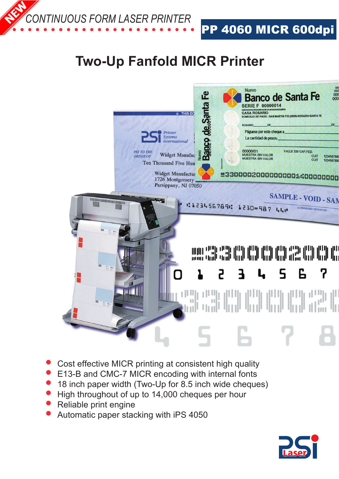

PP 4060 MICR 600dpi

## **Two-Up Fanfold MICR Printer**



- Cost effective MICR printing at consistent high quality
- E13-B and CMC-7 MICR encoding with internal fonts
- 18 inch paper width (Two-Up for 8.5 inch wide cheques)
- High throughout of up to 14,000 cheques per hour
- Reliable print engine
- Automatic paper stacking with iPS 4050